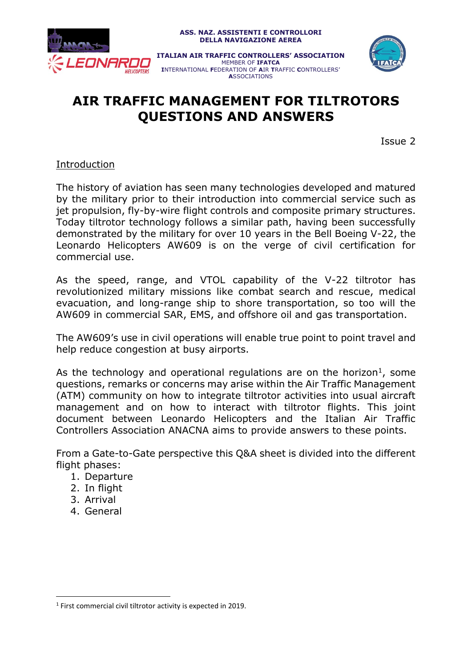

# **AIR TRAFFIC MANAGEMENT FOR TILTROTORS QUESTIONS AND ANSWERS**

Issue 2

#### Introduction

The history of aviation has seen many technologies developed and matured by the military prior to their introduction into commercial service such as jet propulsion, fly-by-wire flight controls and composite primary structures. Today tiltrotor technology follows a similar path, having been successfully demonstrated by the military for over 10 years in the Bell Boeing V-22, the Leonardo Helicopters AW609 is on the verge of civil certification for commercial use.

As the speed, range, and VTOL capability of the V-22 tiltrotor has revolutionized military missions like combat search and rescue, medical evacuation, and long-range ship to shore transportation, so too will the AW609 in commercial SAR, EMS, and offshore oil and gas transportation.

The AW609's use in civil operations will enable true point to point travel and help reduce congestion at busy airports.

As the technology and operational regulations are on the horizon<sup>1</sup>, some questions, remarks or concerns may arise within the Air Traffic Management (ATM) community on how to integrate tiltrotor activities into usual aircraft management and on how to interact with tiltrotor flights. This joint document between Leonardo Helicopters and the Italian Air Traffic Controllers Association ANACNA aims to provide answers to these points.

From a Gate-to-Gate perspective this Q&A sheet is divided into the different flight phases:

- 1. Departure
- 2. In flight
- 3. Arrival

 $\overline{a}$ 

4. General

 $<sup>1</sup>$  First commercial civil tiltrotor activity is expected in 2019.</sup>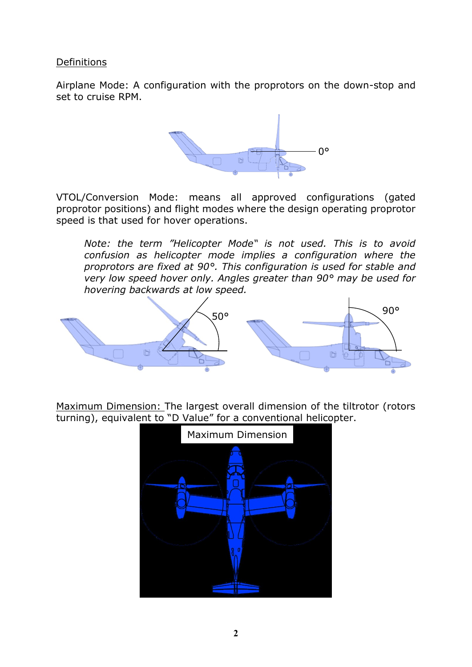Definitions

Airplane Mode: A configuration with the proprotors on the down-stop and set to cruise RPM.



VTOL/Conversion Mode: means all approved configurations (gated proprotor positions) and flight modes where the design operating proprotor speed is that used for hover operations.

*Note: the term "Helicopter Mode" is not used. This is to avoid confusion as helicopter mode implies a configuration where the proprotors are fixed at 90°. This configuration is used for stable and very low speed hover only. Angles greater than 90° may be used for hovering backwards at low speed.*



Maximum Dimension: The largest overall dimension of the tiltrotor (rotors turning), equivalent to "D Value" for a conventional helicopter.

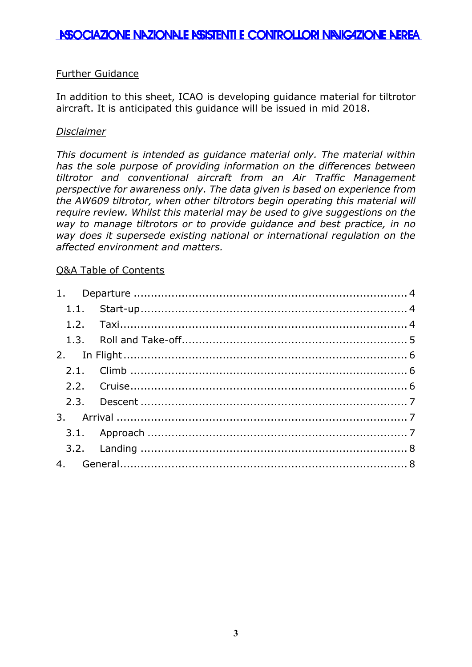## ASSOCIAZIONE NAZIONALE ASISTENTI E CONTROLLORI NAVIGAZIONE AEREA

### Further Guidance

In addition to this sheet, ICAO is developing guidance material for tiltrotor aircraft. It is anticipated this guidance will be issued in mid 2018.

#### *Disclaimer*

*This document is intended as guidance material only. The material within has the sole purpose of providing information on the differences between tiltrotor and conventional aircraft from an Air Traffic Management perspective for awareness only. The data given is based on experience from the AW609 tiltrotor, when other tiltrotors begin operating this material will require review. Whilst this material may be used to give suggestions on the way to manage tiltrotors or to provide guidance and best practice, in no way does it supersede existing national or international regulation on the affected environment and matters.*

#### Q&A Table of Contents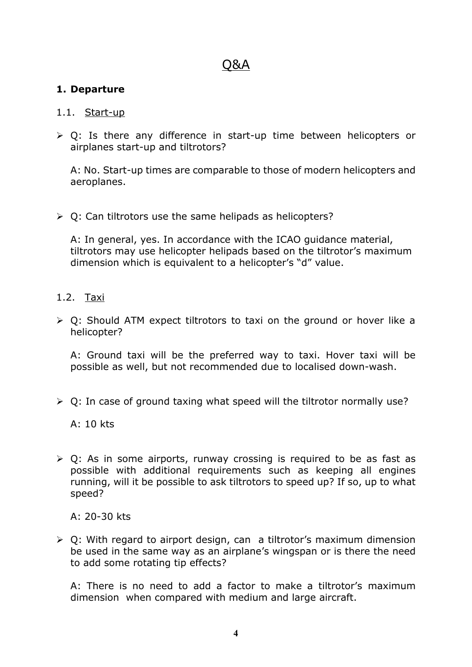## Q&A

## <span id="page-3-0"></span>**1. Departure**

#### <span id="page-3-1"></span>1.1. Start-up

 $\geq 0$ : Is there any difference in start-up time between helicopters or airplanes start-up and tiltrotors?

A: No. Start-up times are comparable to those of modern helicopters and aeroplanes.

 $\triangleright$  Q: Can tiltrotors use the same helipads as helicopters?

A: In general, yes. In accordance with the ICAO guidance material, tiltrotors may use helicopter helipads based on the tiltrotor's maximum dimension which is equivalent to a helicopter's "d" value.

- <span id="page-3-2"></span>1.2. Taxi
- $\triangleright$  Q: Should ATM expect tiltrotors to taxi on the ground or hover like a helicopter?

A: Ground taxi will be the preferred way to taxi. Hover taxi will be possible as well, but not recommended due to localised down-wash.

 $\triangleright$  Q: In case of ground taxing what speed will the tiltrotor normally use?

A: 10 kts

 $\triangleright$  Q: As in some airports, runway crossing is required to be as fast as possible with additional requirements such as keeping all engines running, will it be possible to ask tiltrotors to speed up? If so, up to what speed?

A: 20-30 kts

 $\triangleright$  Q: With regard to airport design, can a tiltrotor's maximum dimension be used in the same way as an airplane's wingspan or is there the need to add some rotating tip effects?

A: There is no need to add a factor to make a tiltrotor's maximum dimension when compared with medium and large aircraft.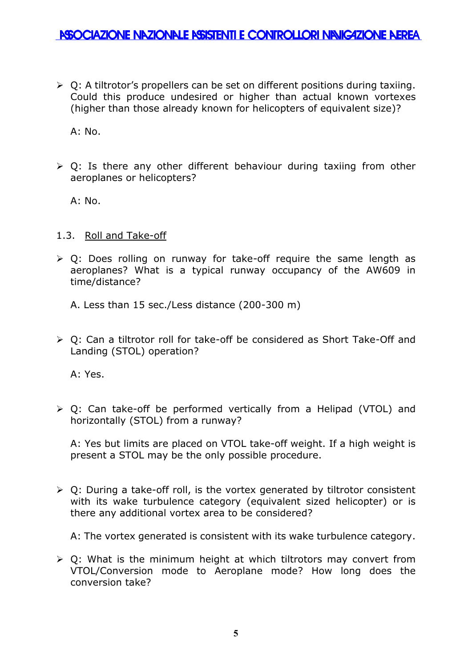$\triangleright$  Q: A tiltrotor's propellers can be set on different positions during taxiing. Could this produce undesired or higher than actual known vortexes (higher than those already known for helicopters of equivalent size)?

 $A: No.$ 

 $\triangleright$  Q: Is there any other different behaviour during taxiing from other aeroplanes or helicopters?

 $A: No.$ 

### <span id="page-4-0"></span>1.3. Roll and Take-off

 $\geq$  Q: Does rolling on runway for take-off require the same length as aeroplanes? What is a typical runway occupancy of the AW609 in time/distance?

A. Less than 15 sec./Less distance (200-300 m)

 Q: Can a tiltrotor roll for take-off be considered as Short Take-Off and Landing (STOL) operation?

A: Yes.

 Q: Can take-off be performed vertically from a Helipad (VTOL) and horizontally (STOL) from a runway?

A: Yes but limits are placed on VTOL take-off weight. If a high weight is present a STOL may be the only possible procedure.

 $\triangleright$  Q: During a take-off roll, is the vortex generated by tiltrotor consistent with its wake turbulence category (equivalent sized helicopter) or is there any additional vortex area to be considered?

A: The vortex generated is consistent with its wake turbulence category.

 $\geq$  0: What is the minimum height at which tiltrotors may convert from VTOL/Conversion mode to Aeroplane mode? How long does the conversion take?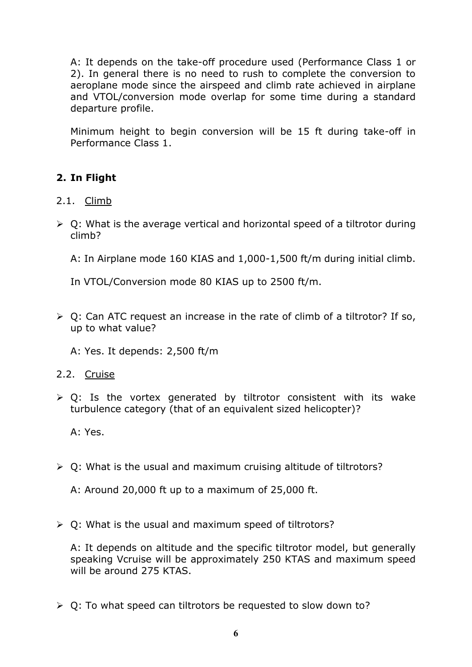A: It depends on the take-off procedure used (Performance Class 1 or 2). In general there is no need to rush to complete the conversion to aeroplane mode since the airspeed and climb rate achieved in airplane and VTOL/conversion mode overlap for some time during a standard departure profile.

Minimum height to begin conversion will be 15 ft during take-off in Performance Class 1.

## <span id="page-5-0"></span>**2. In Flight**

- <span id="page-5-1"></span>2.1. Climb
- $\triangleright$  Q: What is the average vertical and horizontal speed of a tiltrotor during climb?

A: In Airplane mode 160 KIAS and 1,000-1,500 ft/m during initial climb.

In VTOL/Conversion mode 80 KIAS up to 2500 ft/m.

 $\triangleright$  Q: Can ATC request an increase in the rate of climb of a tiltrotor? If so, up to what value?

A: Yes. It depends: 2,500 ft/m

<span id="page-5-2"></span>2.2. Cruise

 $\triangleright$  Q: Is the vortex generated by tiltrotor consistent with its wake turbulence category (that of an equivalent sized helicopter)?

A: Yes.

 $\geq 0$ : What is the usual and maximum cruising altitude of tiltrotors?

A: Around 20,000 ft up to a maximum of 25,000 ft.

 $\triangleright$  Q: What is the usual and maximum speed of tiltrotors?

A: It depends on altitude and the specific tiltrotor model, but generally speaking Vcruise will be approximately 250 KTAS and maximum speed will be around 275 KTAS.

 $\geq 0$ : To what speed can tiltrotors be requested to slow down to?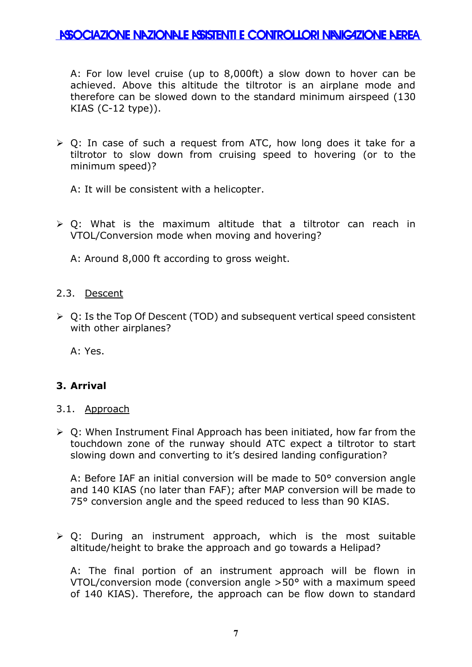## **ASSOCIAZIONE NAZIONALE ASISTENTI E CONTROLLORI NAVIGAZIONE AEREA**

A: For low level cruise (up to 8,000ft) a slow down to hover can be achieved. Above this altitude the tiltrotor is an airplane mode and therefore can be slowed down to the standard minimum airspeed (130 KIAS (C-12 type)).

 $\geq$  Q: In case of such a request from ATC, how long does it take for a tiltrotor to slow down from cruising speed to hovering (or to the minimum speed)?

A: It will be consistent with a helicopter.

 $\geq 0$ : What is the maximum altitude that a tiltrotor can reach in VTOL/Conversion mode when moving and hovering?

A: Around 8,000 ft according to gross weight.

#### <span id="page-6-0"></span>2.3. Descent

 $\triangleright$  Q: Is the Top Of Descent (TOD) and subsequent vertical speed consistent with other airplanes?

A: Yes.

#### <span id="page-6-1"></span>**3. Arrival**

- <span id="page-6-2"></span>3.1. Approach
- $\triangleright$  Q: When Instrument Final Approach has been initiated, how far from the touchdown zone of the runway should ATC expect a tiltrotor to start slowing down and converting to it's desired landing configuration?

A: Before IAF an initial conversion will be made to 50° conversion angle and 140 KIAS (no later than FAF); after MAP conversion will be made to 75° conversion angle and the speed reduced to less than 90 KIAS.

 $\triangleright$  Q: During an instrument approach, which is the most suitable altitude/height to brake the approach and go towards a Helipad?

A: The final portion of an instrument approach will be flown in VTOL/conversion mode (conversion angle >50° with a maximum speed of 140 KIAS). Therefore, the approach can be flow down to standard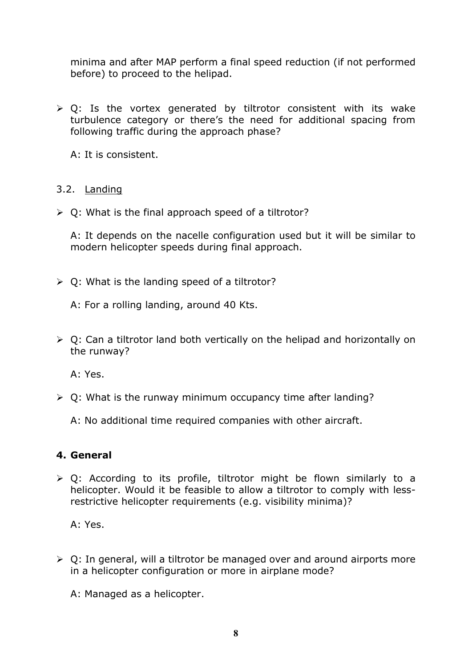minima and after MAP perform a final speed reduction (if not performed before) to proceed to the helipad.

 $\geq 0$ : Is the vortex generated by tiltrotor consistent with its wake turbulence category or there's the need for additional spacing from following traffic during the approach phase?

A: It is consistent.

### <span id="page-7-0"></span>3.2. Landing

 $\triangleright$  Q: What is the final approach speed of a tiltrotor?

A: It depends on the nacelle configuration used but it will be similar to modern helicopter speeds during final approach.

 $\geq 0$ : What is the landing speed of a tiltrotor?

A: For a rolling landing, around 40 Kts.

 $\triangleright$  Q: Can a tiltrotor land both vertically on the helipad and horizontally on the runway?

A: Yes.

 $\geq 0$ : What is the runway minimum occupancy time after landing?

A: No additional time required companies with other aircraft.

#### <span id="page-7-1"></span>**4. General**

 $\triangleright$  Q: According to its profile, tiltrotor might be flown similarly to a helicopter. Would it be feasible to allow a tiltrotor to comply with lessrestrictive helicopter requirements (e.g. visibility minima)?

A: Yes.

 $\geq 0$ : In general, will a tiltrotor be managed over and around airports more in a helicopter configuration or more in airplane mode?

A: Managed as a helicopter.